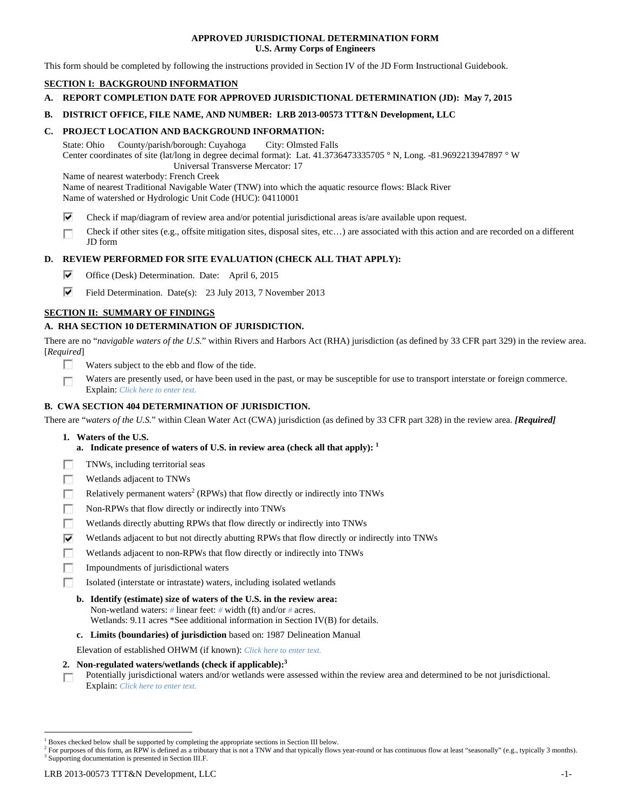### **APPROVED JURISDICTIONAL DETERMINATION FORM U.S. Army Corps of Engineers**

This form should be completed by following the instructions provided in Section IV of the JD Form Instructional Guidebook.

# **SECTION I: BACKGROUND INFORMATION**

**A. REPORT COMPLETION DATE FOR APPROVED JURISDICTIONAL DETERMINATION (JD): May 7, 2015** 

### **B. DISTRICT OFFICE, FILE NAME, AND NUMBER: LRB 2013-00573 TTT&N Development, LLC**

#### **C. PROJECT LOCATION AND BACKGROUND INFORMATION:**

State: Ohio County/parish/borough: Cuyahoga City: Olmsted Falls Center coordinates of site (lat/long in degree decimal format): Lat. 41.3736473335705 ° N, Long. -81.9692213947897 ° W Universal Transverse Mercator: 17

Name of nearest waterbody: French Creek

Name of nearest Traditional Navigable Water (TNW) into which the aquatic resource flows: Black River Name of watershed or Hydrologic Unit Code (HUC): 04110001

- ⊽ Check if map/diagram of review area and/or potential jurisdictional areas is/are available upon request.
- Check if other sites (e.g., offsite mitigation sites, disposal sites, etc…) are associated with this action and are recorded on a different г JD form

# **D. REVIEW PERFORMED FOR SITE EVALUATION (CHECK ALL THAT APPLY):**

- ⊽ Office (Desk) Determination. Date: April 6, 2015
- ⊽ Field Determination. Date(s): 23 July 2013, 7 November 2013

# **SECTION II: SUMMARY OF FINDINGS**

# **A. RHA SECTION 10 DETERMINATION OF JURISDICTION.**

There are no "*navigable waters of the U.S.*" within Rivers and Harbors Act (RHA) jurisdiction (as defined by 33 CFR part 329) in the review area. [*Required*]

- п. Waters subject to the ebb and flow of the tide.
- Waters are presently used, or have been used in the past, or may be susceptible for use to transport interstate or foreign commerce. г Explain: *Click here to enter text.*

#### **B. CWA SECTION 404 DETERMINATION OF JURISDICTION.**

There are "*waters of the U.S.*" within Clean Water Act (CWA) jurisdiction (as defined by 33 CFR part 328) in the review area. *[Required]*

- **1. Waters of the U.S.** 
	- **a.** Indicate presence of waters of U.S. in review area (check all that apply):  $<sup>1</sup>$ </sup>
- Е TNWs, including territorial seas
- п Wetlands adjacent to TNWs
- Relatively permanent waters<sup>2</sup> (RPWs) that flow directly or indirectly into TNWs г
- г Non-RPWs that flow directly or indirectly into TNWs
- п Wetlands directly abutting RPWs that flow directly or indirectly into TNWs
- ⊽ Wetlands adjacent to but not directly abutting RPWs that flow directly or indirectly into TNWs
- Wetlands adjacent to non-RPWs that flow directly or indirectly into TNWs г
- п Impoundments of jurisdictional waters
- Isolated (interstate or intrastate) waters, including isolated wetlands п
	- **b. Identify (estimate) size of waters of the U.S. in the review area:**  Non-wetland waters: *#* linear feet: *#* width (ft) and/or *#* acres.
		- Wetlands: 9.11 acres \*See additional information in Section IV(B) for details.
	- **c. Limits (boundaries) of jurisdiction** based on: 1987 Delineation Manual

Elevation of established OHWM (if known): *Click here to enter text.*

- **2. Non-regulated waters/wetlands (check if applicable):3**
- Potentially jurisdictional waters and/or wetlands were assessed within the review area and determined to be not jurisdictional. п Explain: *Click here to enter text.*

<sup>&</sup>lt;sup>1</sup> Boxes checked below shall be supported by completing the appropriate sections in Section III below.

<sup>&</sup>lt;sup>2</sup> For purposes of this form, an RPW is defined as a tributary that is not a TNW and that typically flows year-round or has continuous flow at least "seasonally" (e.g., typically 3 months). <sup>3</sup> Supporting documentation is presented in Section III.F.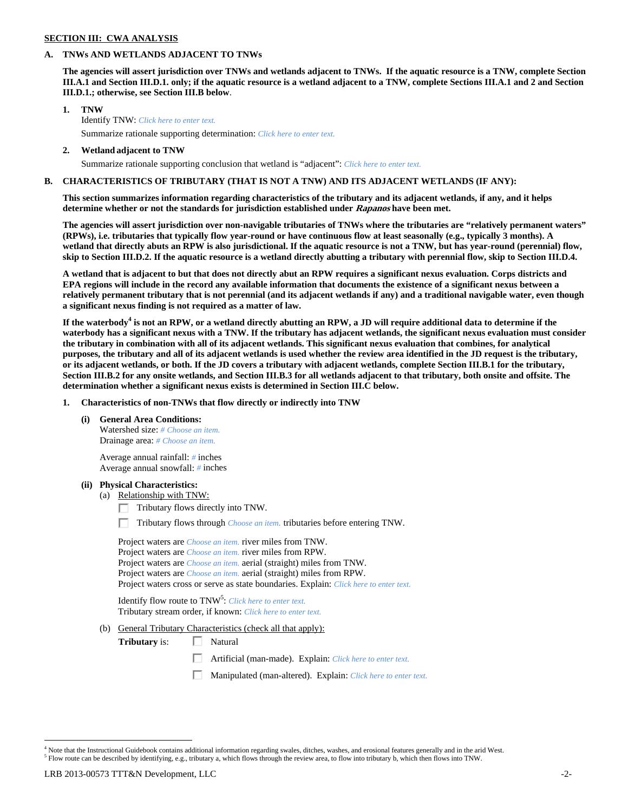# **SECTION III: CWA ANALYSIS**

## **A. TNWs AND WETLANDS ADJACENT TO TNWs**

**The agencies will assert jurisdiction over TNWs and wetlands adjacent to TNWs. If the aquatic resource is a TNW, complete Section III.A.1 and Section III.D.1. only; if the aquatic resource is a wetland adjacent to a TNW, complete Sections III.A.1 and 2 and Section III.D.1.; otherwise, see Section III.B below**.

- **1. TNW**  Identify TNW: *Click here to enter text.*
	- Summarize rationale supporting determination: *Click here to enter text.*
- **2. Wetland adjacent to TNW**  Summarize rationale supporting conclusion that wetland is "adjacent": *Click here to enter text.*

# **B. CHARACTERISTICS OF TRIBUTARY (THAT IS NOT A TNW) AND ITS ADJACENT WETLANDS (IF ANY):**

**This section summarizes information regarding characteristics of the tributary and its adjacent wetlands, if any, and it helps determine whether or not the standards for jurisdiction established under Rapanos have been met.** 

**The agencies will assert jurisdiction over non-navigable tributaries of TNWs where the tributaries are "relatively permanent waters" (RPWs), i.e. tributaries that typically flow year-round or have continuous flow at least seasonally (e.g., typically 3 months). A wetland that directly abuts an RPW is also jurisdictional. If the aquatic resource is not a TNW, but has year-round (perennial) flow, skip to Section III.D.2. If the aquatic resource is a wetland directly abutting a tributary with perennial flow, skip to Section III.D.4.** 

**A wetland that is adjacent to but that does not directly abut an RPW requires a significant nexus evaluation. Corps districts and EPA regions will include in the record any available information that documents the existence of a significant nexus between a relatively permanent tributary that is not perennial (and its adjacent wetlands if any) and a traditional navigable water, even though a significant nexus finding is not required as a matter of law.** 

If the waterbody<sup>4</sup> is not an RPW, or a wetland directly abutting an RPW, a JD will require additional data to determine if the **waterbody has a significant nexus with a TNW. If the tributary has adjacent wetlands, the significant nexus evaluation must consider the tributary in combination with all of its adjacent wetlands. This significant nexus evaluation that combines, for analytical purposes, the tributary and all of its adjacent wetlands is used whether the review area identified in the JD request is the tributary, or its adjacent wetlands, or both. If the JD covers a tributary with adjacent wetlands, complete Section III.B.1 for the tributary, Section III.B.2 for any onsite wetlands, and Section III.B.3 for all wetlands adjacent to that tributary, both onsite and offsite. The determination whether a significant nexus exists is determined in Section III.C below.** 

 **1. Characteristics of non-TNWs that flow directly or indirectly into TNW** 

 **(i) General Area Conditions:** 

 Watershed size: *# Choose an item.* Drainage area: *# Choose an item.*

 Average annual rainfall: *#* inches Average annual snowfall: *#* inches

#### **(ii) Physical Characteristics:**

- (a) Relationship with TNW:
	- $\Box$  Tributary flows directly into TNW.

п Tributary flows through *Choose an item.* tributaries before entering TNW.

 Project waters are *Choose an item.* river miles from TNW. Project waters are *Choose an item.* river miles from RPW. Project waters are *Choose an item.* aerial (straight) miles from TNW. Project waters are *Choose an item.* aerial (straight) miles from RPW. Project waters cross or serve as state boundaries. Explain: *Click here to enter text.*

Identify flow route to TNW<sup>5</sup>: *Click here to enter text.* Tributary stream order, if known: *Click here to enter text.*

(b) General Tributary Characteristics (check all that apply):

**Tributary** is:  $\Box$  Natural

- 口 Artificial (man-made). Explain: *Click here to enter text.*
- Manipulated (man-altered). Explain: *Click here to enter text.*

<sup>&</sup>lt;sup>4</sup> Note that the Instructional Guidebook contains additional information regarding swales, ditches, washes, and erosional features generally and in the arid West.  $<sup>5</sup>$  Flow route can be described by identifying, e.g., tributary a, which flows through the review area, to flow into tributary b, which then flows into TNW.</sup>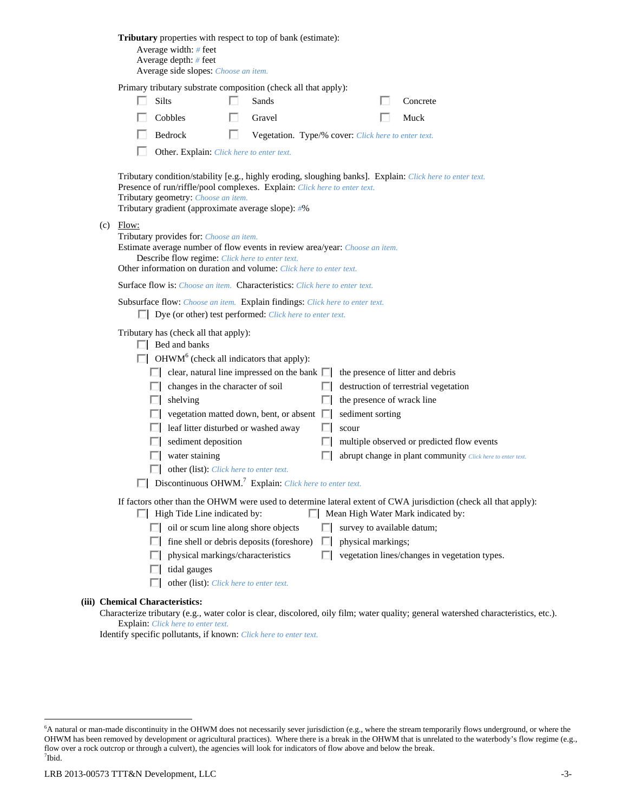| <b>Tributary</b> properties with respect to top of bank (estimate):<br>Average width: # feet<br>Average depth: # feet<br>Average side slopes: Choose an item.                                                                                                                                                                                                                                                                                                                                                                                                                                                                                                                                                                                               |
|-------------------------------------------------------------------------------------------------------------------------------------------------------------------------------------------------------------------------------------------------------------------------------------------------------------------------------------------------------------------------------------------------------------------------------------------------------------------------------------------------------------------------------------------------------------------------------------------------------------------------------------------------------------------------------------------------------------------------------------------------------------|
| Primary tributary substrate composition (check all that apply):                                                                                                                                                                                                                                                                                                                                                                                                                                                                                                                                                                                                                                                                                             |
| <b>Silts</b><br>Sands<br>Concrete                                                                                                                                                                                                                                                                                                                                                                                                                                                                                                                                                                                                                                                                                                                           |
| Cobbles<br>Gravel<br>Muck                                                                                                                                                                                                                                                                                                                                                                                                                                                                                                                                                                                                                                                                                                                                   |
| Bedrock<br>Vegetation. Type/% cover: Click here to enter text.                                                                                                                                                                                                                                                                                                                                                                                                                                                                                                                                                                                                                                                                                              |
| Other. Explain: Click here to enter text.                                                                                                                                                                                                                                                                                                                                                                                                                                                                                                                                                                                                                                                                                                                   |
| Tributary condition/stability [e.g., highly eroding, sloughing banks]. Explain: Click here to enter text.<br>Presence of run/riffle/pool complexes. Explain: Click here to enter text.<br>Tributary geometry: Choose an item.<br>Tributary gradient (approximate average slope): #%                                                                                                                                                                                                                                                                                                                                                                                                                                                                         |
| $(c)$ Flow:<br>Tributary provides for: Choose an item.<br>Estimate average number of flow events in review area/year: Choose an item.<br>Describe flow regime: Click here to enter text.<br>Other information on duration and volume: Click here to enter text.                                                                                                                                                                                                                                                                                                                                                                                                                                                                                             |
| <b>Surface flow is:</b> <i>Choose an item.</i> <b>Characteristics:</b> <i>Click here to enter text.</i>                                                                                                                                                                                                                                                                                                                                                                                                                                                                                                                                                                                                                                                     |
| Subsurface flow: Choose an item. Explain findings: Click here to enter text.                                                                                                                                                                                                                                                                                                                                                                                                                                                                                                                                                                                                                                                                                |
| $\Box$ Dye (or other) test performed: <i>Click here to enter text</i> .                                                                                                                                                                                                                                                                                                                                                                                                                                                                                                                                                                                                                                                                                     |
| Tributary has (check all that apply):<br>$\Box$ Bed and banks<br>$\Box$ OHWM <sup>6</sup> (check all indicators that apply):<br>$\Box$ clear, natural line impressed on the bank $\Box$<br>the presence of litter and debris<br>changes in the character of soil<br>destruction of terrestrial vegetation<br>ш<br>the presence of wrack line<br>shelving<br>ш<br>vegetation matted down, bent, or absent $\Box$<br>sediment sorting<br>leaf litter disturbed or washed away<br>scour<br>sediment deposition<br>multiple observed or predicted flow events<br>water staining<br>abrupt change in plant community Click here to enter text.<br>other (list): Click here to enter text.<br>Discontinuous OHWM. <sup>7</sup> Explain: Click here to enter text. |
| If factors other than the OHWM were used to determine lateral extent of CWA jurisdiction (check all that apply):                                                                                                                                                                                                                                                                                                                                                                                                                                                                                                                                                                                                                                            |
| $\Box$ High Tide Line indicated by:<br>Mean High Water Mark indicated by:                                                                                                                                                                                                                                                                                                                                                                                                                                                                                                                                                                                                                                                                                   |
| $\Box$ oil or scum line along shore objects<br>survey to available datum;                                                                                                                                                                                                                                                                                                                                                                                                                                                                                                                                                                                                                                                                                   |
| fine shell or debris deposits (foreshore)<br>physical markings;<br>. .<br>physical markings/characteristics<br>vegetation lines/changes in vegetation types.                                                                                                                                                                                                                                                                                                                                                                                                                                                                                                                                                                                                |
| tidal gauges                                                                                                                                                                                                                                                                                                                                                                                                                                                                                                                                                                                                                                                                                                                                                |
| other (list): Click here to enter text.                                                                                                                                                                                                                                                                                                                                                                                                                                                                                                                                                                                                                                                                                                                     |
| (iii) Chemical Characteristics:                                                                                                                                                                                                                                                                                                                                                                                                                                                                                                                                                                                                                                                                                                                             |
| Characterize tributary (e.g., water color is clear, discolored, oily film; water quality; general watershed characteristics, etc.).<br>Explain: Click here to enter text.                                                                                                                                                                                                                                                                                                                                                                                                                                                                                                                                                                                   |

Identify specific pollutants, if known: *Click here to enter text.*

<sup>&</sup>lt;sup>6</sup>A natural or man-made discontinuity in the OHWM does not necessarily sever jurisdiction (e.g., where the stream temporarily flows underground, or where the OHWM has been removed by development or agricultural practices). Where there is a break in the OHWM that is unrelated to the waterbody's flow regime (e.g., flow over a rock outcrop or through a culvert), the agencies will look for indicators of flow above and below the break. 7 Ibid.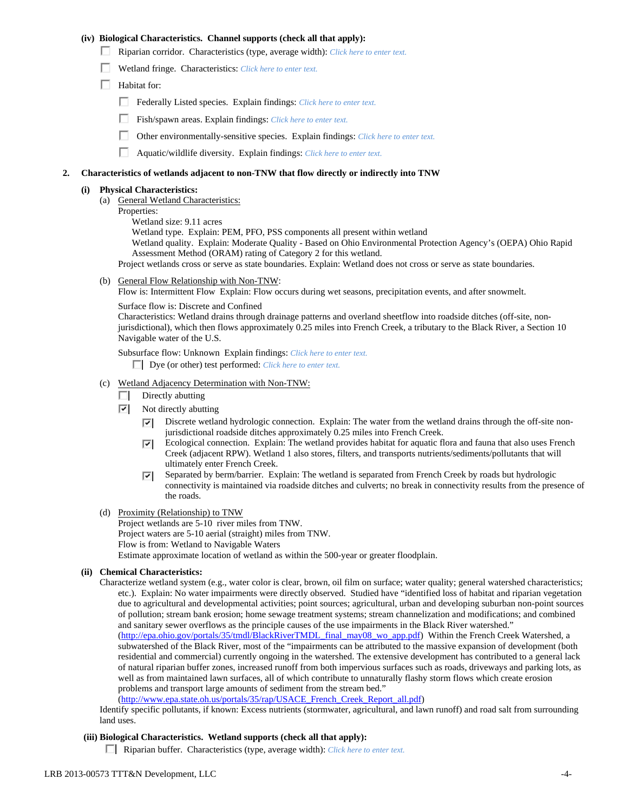## **(iv) Biological Characteristics. Channel supports (check all that apply):**

- Riparian corridor. Characteristics (type, average width): *Click here to enter text.*
- Wetland fringe. Characteristics: *Click here to enter text.*
- $\Box$  Habitat for:
	- Federally Listed species. Explain findings: *Click here to enter text*.
	- Fish/spawn areas. Explain findings: *Click here to enter text.*
	- Other environmentally-sensitive species. Explain findings: *Click here to enter text.*
	- Aquatic/wildlife diversity. Explain findings: *Click here to enter text.*

#### **2. Characteristics of wetlands adjacent to non-TNW that flow directly or indirectly into TNW**

# **(i) Physical Characteristics:**

- (a) General Wetland Characteristics:
- Properties:
	- Wetland size: 9.11 acres

Wetland type. Explain: PEM, PFO, PSS components all present within wetland

Wetland quality. Explain: Moderate Quality - Based on Ohio Environmental Protection Agency's (OEPA) Ohio Rapid Assessment Method (ORAM) rating of Category 2 for this wetland.

Project wetlands cross or serve as state boundaries. Explain: Wetland does not cross or serve as state boundaries.

(b) General Flow Relationship with Non-TNW:

Flow is: Intermittent Flow Explain: Flow occurs during wet seasons, precipitation events, and after snowmelt.

Surface flow is: Discrete and Confined

Characteristics: Wetland drains through drainage patterns and overland sheetflow into roadside ditches (off-site, nonjurisdictional), which then flows approximately 0.25 miles into French Creek, a tributary to the Black River, a Section 10 Navigable water of the U.S.

Subsurface flow: Unknown Explain findings: *Click here to enter text.*

Dye (or other) test performed: *Click here to enter text.*

- (c) Wetland Adjacency Determination with Non-TNW:
	- $\Box$  Directly abutting
	- $\overline{v}$  Not directly abutting
		- Discrete wetland hydrologic connection. Explain: The water from the wetland drains through the off-site non- $\overline{\mathbf{v}}$ jurisdictional roadside ditches approximately 0.25 miles into French Creek.
		- Ecological connection. Explain: The wetland provides habitat for aquatic flora and fauna that also uses French  $|\nabla|$ Creek (adjacent RPW). Wetland 1 also stores, filters, and transports nutrients/sediments/pollutants that will ultimately enter French Creek.
		- Separated by berm/barrier. Explain: The wetland is separated from French Creek by roads but hydrologic ⊡ connectivity is maintained via roadside ditches and culverts; no break in connectivity results from the presence of the roads.
- (d) Proximity (Relationship) to TNW
	- Project wetlands are 5-10 river miles from TNW. Project waters are 5-10 aerial (straight) miles from TNW. Flow is from: Wetland to Navigable Waters Estimate approximate location of wetland as within the 500-year or greater floodplain.

# **(ii) Chemical Characteristics:**

Characterize wetland system (e.g., water color is clear, brown, oil film on surface; water quality; general watershed characteristics; etc.). Explain: No water impairments were directly observed. Studied have "identified loss of habitat and riparian vegetation due to agricultural and developmental activities; point sources; agricultural, urban and developing suburban non-point sources of pollution; stream bank erosion; home sewage treatment systems; stream channelization and modifications; and combined and sanitary sewer overflows as the principle causes of the use impairments in the Black River watershed." (http://epa.ohio.gov/portals/35/tmdl/BlackRiverTMDL\_final\_may08\_wo\_app.pdf) Within the French Creek Watershed, a subwatershed of the Black River, most of the "impairments can be attributed to the massive expansion of development (both residential and commercial) currently ongoing in the watershed. The extensive development has contributed to a general lack of natural riparian buffer zones, increased runoff from both impervious surfaces such as roads, driveways and parking lots, as well as from maintained lawn surfaces, all of which contribute to unnaturally flashy storm flows which create erosion problems and transport large amounts of sediment from the stream bed." (http://www.epa.state.oh.us/portals/35/rap/USACE\_French\_Creek\_Report\_all.pdf)

Identify specific pollutants, if known: Excess nutrients (stormwater, agricultural, and lawn runoff) and road salt from surrounding land uses.

#### **(iii) Biological Characteristics. Wetland supports (check all that apply):**

Riparian buffer. Characteristics (type, average width): *Click here to enter text.*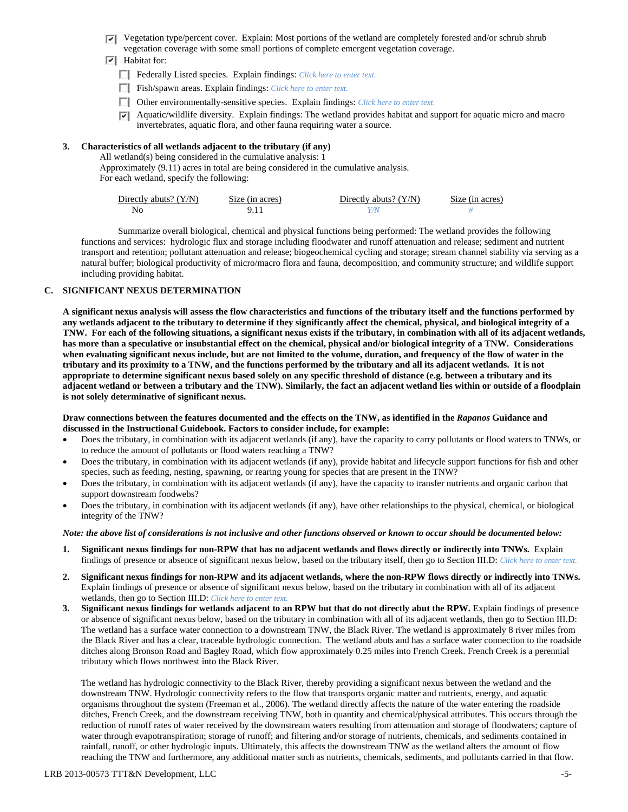- Vegetation type/percent cover. Explain: Most portions of the wetland are completely forested and/or schrub shrub vegetation coverage with some small portions of complete emergent vegetation coverage.
- $\overline{v}$  Habitat for:
	- Federally Listed species. Explain findings: *Click here to enter text*.
	- Fish/spawn areas. Explain findings: *Click here to enter text*.
	- Other environmentally-sensitive species. Explain findings: *Click here to enter text.*
	- $\triangledown$  Aquatic/wildlife diversity. Explain findings: The wetland provides habitat and support for aquatic micro and macro invertebrates, aquatic flora, and other fauna requiring water a source.

## **3. Characteristics of all wetlands adjacent to the tributary (if any)**

All wetland(s) being considered in the cumulative analysis: 1

 Approximately (9.11) acres in total are being considered in the cumulative analysis. For each wetland, specify the following:

| Directly abuts? $(Y/N)$ | Size (in acres) | Directly abuts? $(Y/N)$ | Size (in acres) |
|-------------------------|-----------------|-------------------------|-----------------|
|                         |                 |                         |                 |

 Summarize overall biological, chemical and physical functions being performed: The wetland provides the following functions and services: hydrologic flux and storage including floodwater and runoff attenuation and release; sediment and nutrient transport and retention; pollutant attenuation and release; biogeochemical cycling and storage; stream channel stability via serving as a natural buffer; biological productivity of micro/macro flora and fauna, decomposition, and community structure; and wildlife support including providing habitat.

### **C. SIGNIFICANT NEXUS DETERMINATION**

**A significant nexus analysis will assess the flow characteristics and functions of the tributary itself and the functions performed by any wetlands adjacent to the tributary to determine if they significantly affect the chemical, physical, and biological integrity of a TNW. For each of the following situations, a significant nexus exists if the tributary, in combination with all of its adjacent wetlands, has more than a speculative or insubstantial effect on the chemical, physical and/or biological integrity of a TNW. Considerations when evaluating significant nexus include, but are not limited to the volume, duration, and frequency of the flow of water in the tributary and its proximity to a TNW, and the functions performed by the tributary and all its adjacent wetlands. It is not appropriate to determine significant nexus based solely on any specific threshold of distance (e.g. between a tributary and its adjacent wetland or between a tributary and the TNW). Similarly, the fact an adjacent wetland lies within or outside of a floodplain is not solely determinative of significant nexus.** 

#### **Draw connections between the features documented and the effects on the TNW, as identified in the** *Rapanos* **Guidance and discussed in the Instructional Guidebook. Factors to consider include, for example:**

- Does the tributary, in combination with its adjacent wetlands (if any), have the capacity to carry pollutants or flood waters to TNWs, or to reduce the amount of pollutants or flood waters reaching a TNW?
- Does the tributary, in combination with its adjacent wetlands (if any), provide habitat and lifecycle support functions for fish and other species, such as feeding, nesting, spawning, or rearing young for species that are present in the TNW?
- Does the tributary, in combination with its adjacent wetlands (if any), have the capacity to transfer nutrients and organic carbon that support downstream foodwebs?
- Does the tributary, in combination with its adjacent wetlands (if any), have other relationships to the physical, chemical, or biological integrity of the TNW?

#### *Note: the above list of considerations is not inclusive and other functions observed or known to occur should be documented below:*

- **1. Significant nexus findings for non-RPW that has no adjacent wetlands and flows directly or indirectly into TNWs.** Explain findings of presence or absence of significant nexus below, based on the tributary itself, then go to Section III.D: *Click here to enter text.*
- **2. Significant nexus findings for non-RPW and its adjacent wetlands, where the non-RPW flows directly or indirectly into TNWs.**  Explain findings of presence or absence of significant nexus below, based on the tributary in combination with all of its adjacent wetlands, then go to Section III.D: *Click here to enter text.*
- **3. Significant nexus findings for wetlands adjacent to an RPW but that do not directly abut the RPW.** Explain findings of presence or absence of significant nexus below, based on the tributary in combination with all of its adjacent wetlands, then go to Section III.D: The wetland has a surface water connection to a downstream TNW, the Black River. The wetland is approximately 8 river miles from the Black River and has a clear, traceable hydrologic connection. The wetland abuts and has a surface water connection to the roadside ditches along Bronson Road and Bagley Road, which flow approximately 0.25 miles into French Creek. French Creek is a perennial tributary which flows northwest into the Black River.

The wetland has hydrologic connectivity to the Black River, thereby providing a significant nexus between the wetland and the downstream TNW. Hydrologic connectivity refers to the flow that transports organic matter and nutrients, energy, and aquatic organisms throughout the system (Freeman et al., 2006). The wetland directly affects the nature of the water entering the roadside ditches, French Creek, and the downstream receiving TNW, both in quantity and chemical/physical attributes. This occurs through the reduction of runoff rates of water received by the downstream waters resulting from attenuation and storage of floodwaters; capture of water through evapotranspiration; storage of runoff; and filtering and/or storage of nutrients, chemicals, and sediments contained in rainfall, runoff, or other hydrologic inputs. Ultimately, this affects the downstream TNW as the wetland alters the amount of flow reaching the TNW and furthermore, any additional matter such as nutrients, chemicals, sediments, and pollutants carried in that flow.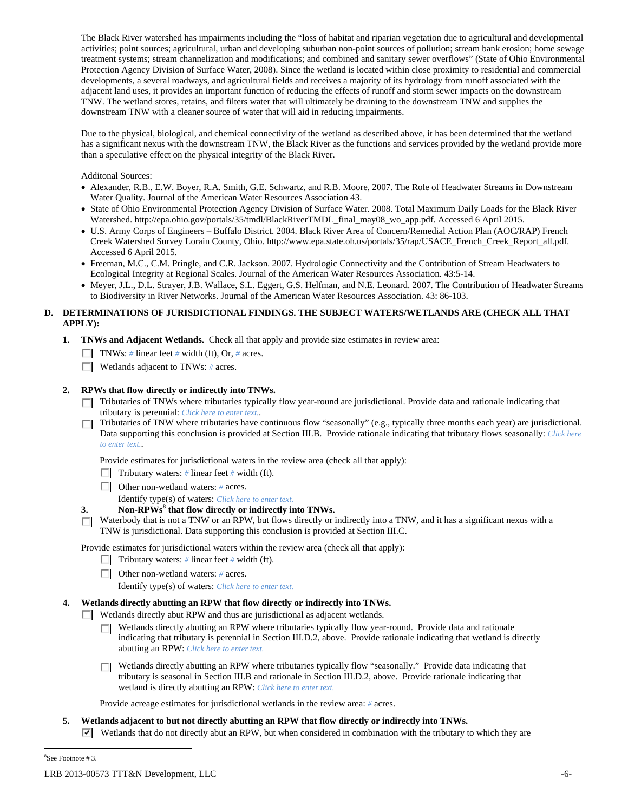The Black River watershed has impairments including the "loss of habitat and riparian vegetation due to agricultural and developmental activities; point sources; agricultural, urban and developing suburban non-point sources of pollution; stream bank erosion; home sewage treatment systems; stream channelization and modifications; and combined and sanitary sewer overflows" (State of Ohio Environmental Protection Agency Division of Surface Water, 2008). Since the wetland is located within close proximity to residential and commercial developments, a several roadways, and agricultural fields and receives a majority of its hydrology from runoff associated with the adjacent land uses, it provides an important function of reducing the effects of runoff and storm sewer impacts on the downstream TNW. The wetland stores, retains, and filters water that will ultimately be draining to the downstream TNW and supplies the downstream TNW with a cleaner source of water that will aid in reducing impairments.

Due to the physical, biological, and chemical connectivity of the wetland as described above, it has been determined that the wetland has a significant nexus with the downstream TNW, the Black River as the functions and services provided by the wetland provide more than a speculative effect on the physical integrity of the Black River.

Additonal Sources:

- Alexander, R.B., E.W. Boyer, R.A. Smith, G.E. Schwartz, and R.B. Moore, 2007. The Role of Headwater Streams in Downstream Water Quality. Journal of the American Water Resources Association 43.
- State of Ohio Environmental Protection Agency Division of Surface Water. 2008. Total Maximum Daily Loads for the Black River Watershed. http://epa.ohio.gov/portals/35/tmdl/BlackRiverTMDL\_final\_may08\_wo\_app.pdf. Accessed 6 April 2015.
- U.S. Army Corps of Engineers Buffalo District. 2004. Black River Area of Concern/Remedial Action Plan (AOC/RAP) French Creek Watershed Survey Lorain County, Ohio. http://www.epa.state.oh.us/portals/35/rap/USACE\_French\_Creek\_Report\_all.pdf. Accessed 6 April 2015.
- Freeman, M.C., C.M. Pringle, and C.R. Jackson. 2007. Hydrologic Connectivity and the Contribution of Stream Headwaters to Ecological Integrity at Regional Scales. Journal of the American Water Resources Association. 43:5-14.
- Meyer, J.L., D.L. Strayer, J.B. Wallace, S.L. Eggert, G.S. Helfman, and N.E. Leonard. 2007. The Contribution of Headwater Streams to Biodiversity in River Networks. Journal of the American Water Resources Association. 43: 86-103.

# **D. DETERMINATIONS OF JURISDICTIONAL FINDINGS. THE SUBJECT WATERS/WETLANDS ARE (CHECK ALL THAT APPLY):**

- **1. TNWs and Adjacent Wetlands.** Check all that apply and provide size estimates in review area:
	- **TNWs:** # linear feet # width (ft), Or, # acres.
	- Wetlands adjacent to TNWs: *#* acres.

# **2. RPWs that flow directly or indirectly into TNWs.**

- $\Box$  Tributaries of TNWs where tributaries typically flow year-round are jurisdictional. Provide data and rationale indicating that tributary is perennial: *Click here to enter text.*.
- Tributaries of TNW where tributaries have continuous flow "seasonally" (e.g., typically three months each year) are jurisdictional. Data supporting this conclusion is provided at Section III.B. Provide rationale indicating that tributary flows seasonally: *Click here to enter text.*.

Provide estimates for jurisdictional waters in the review area (check all that apply):

- **Tributary waters:** # linear feet # width (ft).
- Other non-wetland waters: *#* acres.
	- Identify type(s) of waters: *Click here to enter text.*
- **3. Non-RPWs<sup>8</sup> that flow directly or indirectly into TNWs.** 
	- Waterbody that is not a TNW or an RPW, but flows directly or indirectly into a TNW, and it has a significant nexus with a ПL. TNW is jurisdictional. Data supporting this conclusion is provided at Section III.C.

Provide estimates for jurisdictional waters within the review area (check all that apply):

- **Tributary waters:** # linear feet # width (ft).
- Other non-wetland waters: *#* acres.
	- Identify type(s) of waters: *Click here to enter text.*

# **4. Wetlands directly abutting an RPW that flow directly or indirectly into TNWs.**

- Wetlands directly abut RPW and thus are jurisdictional as adjacent wetlands.
	- Wetlands directly abutting an RPW where tributaries typically flow year-round. Provide data and rationale ПL. indicating that tributary is perennial in Section III.D.2, above. Provide rationale indicating that wetland is directly abutting an RPW: *Click here to enter text.*
	- Wetlands directly abutting an RPW where tributaries typically flow "seasonally." Provide data indicating that tributary is seasonal in Section III.B and rationale in Section III.D.2, above. Provide rationale indicating that wetland is directly abutting an RPW: *Click here to enter text.*

Provide acreage estimates for jurisdictional wetlands in the review area: *#* acres.

- **5. Wetlands adjacent to but not directly abutting an RPW that flow directly or indirectly into TNWs.** 
	- $\triangledown$  Wetlands that do not directly abut an RPW, but when considered in combination with the tributary to which they are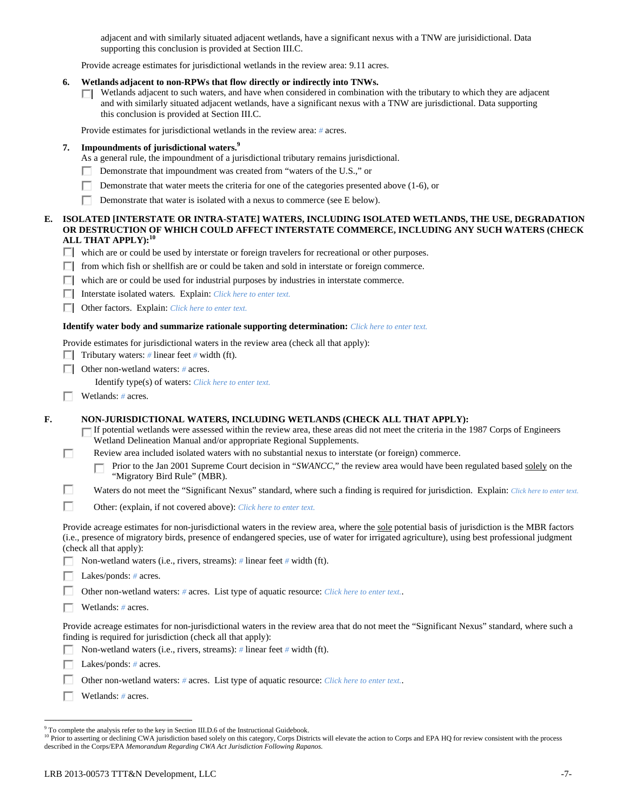adjacent and with similarly situated adjacent wetlands, have a significant nexus with a TNW are jurisidictional. Data supporting this conclusion is provided at Section III.C.

Provide acreage estimates for jurisdictional wetlands in the review area: 9.11 acres.

- **6. Wetlands adjacent to non-RPWs that flow directly or indirectly into TNWs.** 
	- $\Box$  Wetlands adjacent to such waters, and have when considered in combination with the tributary to which they are adjacent and with similarly situated adjacent wetlands, have a significant nexus with a TNW are jurisdictional. Data supporting this conclusion is provided at Section III.C.

Provide estimates for jurisdictional wetlands in the review area: *#* acres.

# **7. Impoundments of jurisdictional waters.9**

- As a general rule, the impoundment of a jurisdictional tributary remains jurisdictional.
- Demonstrate that impoundment was created from "waters of the U.S.," or п
- Demonstrate that water meets the criteria for one of the categories presented above (1-6), or п
- г Demonstrate that water is isolated with a nexus to commerce (see E below).

## **E. ISOLATED [INTERSTATE OR INTRA-STATE] WATERS, INCLUDING ISOLATED WETLANDS, THE USE, DEGRADATION OR DESTRUCTION OF WHICH COULD AFFECT INTERSTATE COMMERCE, INCLUDING ANY SUCH WATERS (CHECK ALL THAT APPLY):<sup>10</sup>**

- which are or could be used by interstate or foreign travelers for recreational or other purposes.
- $\Box$  from which fish or shellfish are or could be taken and sold in interstate or foreign commerce.
- which are or could be used for industrial purposes by industries in interstate commerce.
- Interstate isolated waters.Explain: *Click here to enter text.*
- Other factors.Explain: *Click here to enter text.*

#### **Identify water body and summarize rationale supporting determination:** *Click here to enter text.*

Provide estimates for jurisdictional waters in the review area (check all that apply):

- Tributary waters:  $\#$  linear feet  $\#$  width (ft).
- Other non-wetland waters: *#* acres.

Identify type(s) of waters: *Click here to enter text.*

Wetlands: *#* acres.

П

# **F. NON-JURISDICTIONAL WATERS, INCLUDING WETLANDS (CHECK ALL THAT APPLY):**

If potential wetlands were assessed within the review area, these areas did not meet the criteria in the 1987 Corps of Engineers Wetland Delineation Manual and/or appropriate Regional Supplements.

- Review area included isolated waters with no substantial nexus to interstate (or foreign) commerce.
	- Prior to the Jan 2001 Supreme Court decision in "*SWANCC*," the review area would have been regulated based solely on the п "Migratory Bird Rule" (MBR).
- П Waters do not meet the "Significant Nexus" standard, where such a finding is required for jurisdiction. Explain: *Click here to enter text.*
- П Other: (explain, if not covered above): *Click here to enter text.*

Provide acreage estimates for non-jurisdictional waters in the review area, where the sole potential basis of jurisdiction is the MBR factors (i.e., presence of migratory birds, presence of endangered species, use of water for irrigated agriculture), using best professional judgment (check all that apply):

П. Non-wetland waters (i.e., rivers, streams): *#* linear feet *#* width (ft).

Lakes/ponds: *#* acres.

Other non-wetland waters: *#* acres. List type of aquatic resource: *Click here to enter text.*.

Wetlands: *#* acres.

Provide acreage estimates for non-jurisdictional waters in the review area that do not meet the "Significant Nexus" standard, where such a finding is required for jurisdiction (check all that apply):

- Non-wetland waters (i.e., rivers, streams): *#* linear feet *#* width (ft).
- Lakes/ponds: *#* acres.
- Other non-wetland waters: *#* acres. List type of aquatic resource: *Click here to enter text.*.
- г Wetlands: *#* acres.

<sup>&</sup>lt;sup>9</sup> To complete the analysis refer to the key in Section III.D.6 of the Instructional Guidebook.

<sup>&</sup>lt;sup>10</sup> Prior to asserting or declining CWA jurisdiction based solely on this category, Corps Districts will elevate the action to Corps and EPA HQ for review consistent with the process described in the Corps/EPA *Memorandum Regarding CWA Act Jurisdiction Following Rapanos.*